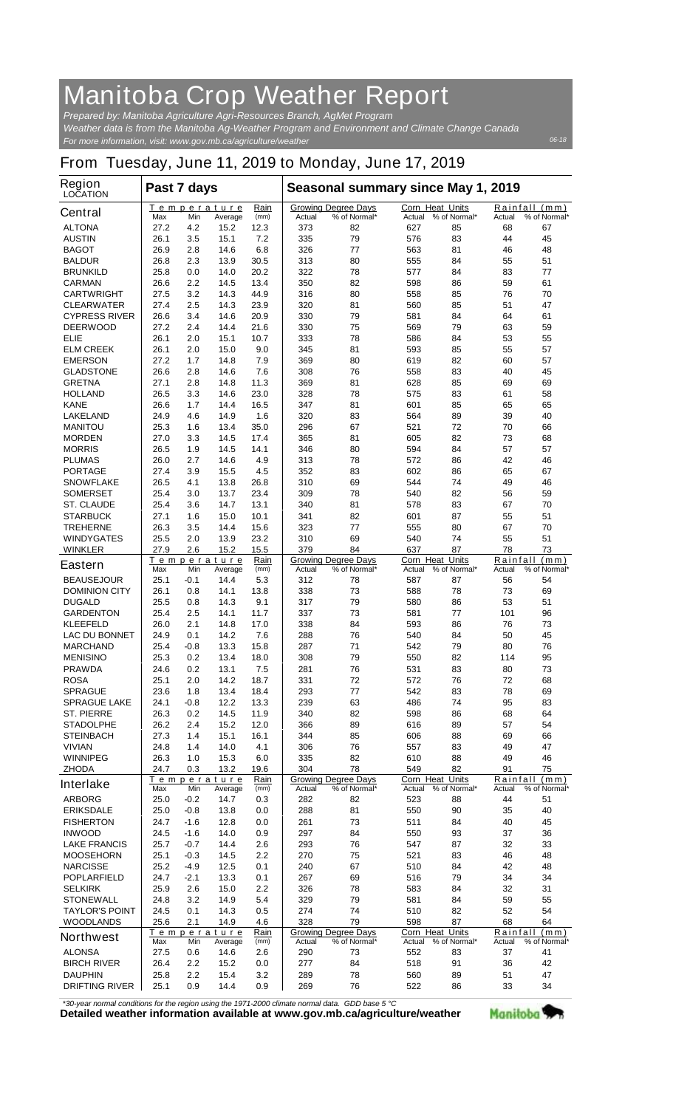## **Manitoba Crop Weather Report**

*For more information, visit: www.gov.mb.ca/agriculture/weather Prepared by: Manitoba Agriculture Agri-Resources Branch, AgMet Program Weather data is from the Manitoba Ag-Weather Program and Environment and Climate Change Canada*

## **From Tuesday, June 11, 2019 to Monday, June 17, 2019**

| <b>Region</b><br><b>LOCATION</b>     | Past 7 days  |                |                               |              | Seasonal summary since May 1, 2019 |                                            |                                  |              |                    |                               |
|--------------------------------------|--------------|----------------|-------------------------------|--------------|------------------------------------|--------------------------------------------|----------------------------------|--------------|--------------------|-------------------------------|
| <b>Central</b>                       | Max          | Min            | Temperature<br>Average        | Rain<br>(mm) | Actual                             | <b>Growing Degree Days</b><br>% of Normal* | <b>Corn Heat Units</b><br>Actual | % of Normal* | Actual             | Rainfall (mm)<br>% of Normal* |
| <b>ALTONA</b>                        | 27.2         | 4.2            | 15.2                          | 12.3         | 373                                | 82                                         | 627                              | 85           | 68                 | 67                            |
| <b>AUSTIN</b>                        | 26.1         | 3.5            | 15.1                          | 7.2          | 335                                | 79                                         | 576                              | 83           | 44                 | 45                            |
| <b>BAGOT</b>                         | 26.9         | 2.8            | 14.6                          | 6.8          | 326                                | 77                                         | 563                              | 81           | 46                 | 48                            |
| <b>BALDUR</b>                        | 26.8         | 2.3            | 13.9                          | 30.5         | 313                                | 80                                         | 555                              | 84           | 55                 | 51                            |
| <b>BRUNKILD</b>                      | 25.8         | 0.0            | 14.0                          | 20.2         | 322                                | 78                                         | 577                              | 84           | 83                 | 77                            |
| <b>CARMAN</b><br><b>CARTWRIGHT</b>   | 26.6<br>27.5 | 2.2<br>3.2     | 14.5<br>14.3                  | 13.4<br>44.9 | 350<br>316                         | 82<br>80                                   | 598<br>558                       | 86<br>85     | 59<br>76           | 61<br>70                      |
| <b>CLEARWATER</b>                    | 27.4         | 2.5            | 14.3                          | 23.9         | 320                                | 81                                         | 560                              | 85           | 51                 | 47                            |
| <b>CYPRESS RIVER</b>                 | 26.6         | 3.4            | 14.6                          | 20.9         | 330                                | 79                                         | 581                              | 84           | 64                 | 61                            |
| <b>DEERWOOD</b>                      | 27.2         | 2.4            | 14.4                          | 21.6         | 330                                | 75                                         | 569                              | 79           | 63                 | 59                            |
| ELIE                                 | 26.1         | 2.0            | 15.1                          | 10.7         | 333                                | 78                                         | 586                              | 84           | 53                 | 55                            |
| <b>ELM CREEK</b>                     | 26.1         | 2.0            | 15.0                          | 9.0          | 345                                | 81                                         | 593                              | 85           | 55                 | 57                            |
| <b>EMERSON</b>                       | 27.2         | 1.7            | 14.8                          | 7.9          | 369                                | 80                                         | 619                              | 82           | 60                 | 57                            |
| <b>GLADSTONE</b>                     | 26.6         | 2.8            | 14.6                          | 7.6          | 308                                | 76                                         | 558                              | 83           | 40                 | 45                            |
| <b>GRETNA</b>                        | 27.1         | 2.8            | 14.8                          | 11.3         | 369                                | 81                                         | 628                              | 85           | 69                 | 69                            |
| <b>HOLLAND</b>                       | 26.5         | 3.3            | 14.6                          | 23.0         | 328                                | 78                                         | 575                              | 83           | 61                 | 58                            |
| <b>KANE</b>                          | 26.6         | 1.7            | 14.4                          | 16.5         | 347                                | 81                                         | 601                              | 85           | 65                 | 65                            |
| <b>LAKELAND</b>                      | 24.9         | 4.6            | 14.9                          | 1.6          | 320                                | 83                                         | 564                              | 89           | 39                 | 40                            |
| <b>MANITOU</b>                       | 25.3         | 1.6            | 13.4                          | 35.0         | 296                                | 67                                         | 521                              | 72           | 70                 | 66                            |
| <b>MORDEN</b>                        | 27.0         | 3.3            | 14.5                          | 17.4         | 365                                | 81                                         | 605                              | 82<br>84     | 73<br>57           | 68<br>57                      |
| <b>MORRIS</b><br><b>PLUMAS</b>       | 26.5<br>26.0 | 1.9<br>2.7     | 14.5<br>14.6                  | 14.1<br>4.9  | 346<br>313                         | 80<br>78                                   | 594<br>572                       | 86           | 42                 | 46                            |
| <b>PORTAGE</b>                       | 27.4         | 3.9            | 15.5                          | 4.5          | 352                                | 83                                         | 602                              | 86           | 65                 | 67                            |
| <b>SNOWFLAKE</b>                     | 26.5         | 4.1            | 13.8                          | 26.8         | 310                                | 69                                         | 544                              | 74           | 49                 | 46                            |
| <b>SOMERSET</b>                      | 25.4         | 3.0            | 13.7                          | 23.4         | 309                                | 78                                         | 540                              | 82           | 56                 | 59                            |
| <b>ST. CLAUDE</b>                    | 25.4         | 3.6            | 14.7                          | 13.1         | 340                                | 81                                         | 578                              | 83           | 67                 | 70                            |
| <b>STARBUCK</b>                      | 27.1         | 1.6            | 15.0                          | 10.1         | 341                                | 82                                         | 601                              | 87           | 55                 | 51                            |
| <b>TREHERNE</b>                      | 26.3         | 3.5            | 14.4                          | 15.6         | 323                                | 77                                         | 555                              | 80           | 67                 | 70                            |
| <b>WINDYGATES</b>                    | 25.5         | 2.0            | 13.9                          | 23.2         | 310                                | 69                                         | 540                              | 74           | 55                 | 51                            |
| <b>WINKLER</b>                       | 27.9         | 2.6            | 15.2                          | 15.5         | 379                                | 84                                         | 637                              | 87           | 78                 | 73                            |
| <b>Eastern</b>                       | Max          | Min            | <u>Temperature</u><br>Average | Rain<br>(mm) | Actual                             | <b>Growing Degree Days</b><br>% of Normal* | <b>Corn Heat Units</b><br>Actual | % of Normal* | Actual             | Rainfall (mm)<br>% of Normal* |
| <b>BEAUSEJOUR</b>                    | 25.1         | -0.1           | 14.4                          | 5.3          | 312                                | 78                                         | 587                              | 87           | 56                 | 54                            |
| <b>DOMINION CITY</b>                 | 26.1         | 0.8            | 14.1                          | 13.8         | 338                                | 73                                         | 588                              | 78           | 73                 | 69                            |
| <b>DUGALD</b>                        | 25.5         | 0.8            | 14.3                          | 9.1          | 317                                | 79                                         | 580                              | 86           | 53                 | 51                            |
| <b>GARDENTON</b><br><b>KLEEFELD</b>  | 25.4<br>26.0 | 2.5<br>2.1     | 14.1<br>14.8                  | 11.7<br>17.0 | 337                                | 73<br>84                                   | 581                              | 77           | 101<br>76          | 96<br>73                      |
| <b>LAC DU BONNET</b>                 | 24.9         | 0.1            | 14.2                          | 7.6          | 338<br>288                         | 76                                         | 593<br>540                       | 86<br>84     | 50                 | 45                            |
| <b>MARCHAND</b>                      | 25.4         | -0.8           | 13.3                          | 15.8         | 287                                | 71                                         | 542                              | 79           | 80                 | 76                            |
| <b>MENISINO</b>                      | 25.3         | 0.2            | 13.4                          | 18.0         | 308                                | 79                                         | 550                              | 82           | 114                | 95                            |
| <b>PRAWDA</b>                        | 24.6         | 0.2            | 13.1                          | 7.5          | 281                                | 76                                         | 531                              | 83           | 80                 | 73                            |
| <b>ROSA</b>                          | 25.1         | 2.0            | 14.2                          | 18.7         | 331                                | 72                                         | 572                              | 76           | 72                 | 68                            |
| <b>SPRAGUE</b>                       | 23.6         | 1.8            | 13.4                          | 18.4         | 293                                | 77                                         | 542                              | 83           | 78                 | 69                            |
| <b>SPRAGUE LAKE</b>                  | 24.1         | -0.8           | 12.2                          | 13.3         | 239                                | 63                                         | 486                              | 74           | 95                 | 83                            |
| <b>ST. PIERRE</b>                    | 26.3         | 0.2            | 14.5                          | 11.9         | 340                                | 82                                         | 598                              | 86           | 68                 | 64                            |
| <b>STADOLPHE</b>                     | 26.2         | 2.4            | 15.2                          | 12.0         | 366                                | 89                                         | 616                              | 89           | 57                 | 54                            |
| <b>STEINBACH</b>                     | 27.3         | 1.4            | 15.1                          | 16.1         | 344                                | 85                                         | 606                              | 88           | 69                 | 66                            |
| <b>VIVIAN</b>                        | 24.8         | 1.4            | 14.0<br>15.3                  | 4.1          | 306                                | 76                                         | 557                              | 83           | 49                 | 47                            |
| <b>WINNIPEG</b><br><b>ZHODA</b>      | 26.3<br>24.7 | 1.0<br>0.3     | 13.2                          | 6.0<br>19.6  | 335<br>304                         | 82<br>78                                   | 610<br>549                       | 88<br>82     | 49<br>91           | 46<br>75                      |
| <b>Interlake</b>                     | Max          | Min            | <b>Temperature</b><br>Average | Rain<br>(mm) | Actual                             | <b>Growing Degree Davs</b><br>% of Normal* | Corn Heat Units<br>Actual        | % of Normal* | Rainfall<br>Actual | (mm)<br>% of Normal*          |
| <b>ARBORG</b>                        | 25.0         | -0.2           | 14.7                          | 0.3          | 282                                | 82                                         | 523                              | 88           | 44                 | 51                            |
| <b>ERIKSDALE</b>                     | 25.0         | -0.8           | 13.8                          | 0.0          | 288                                | 81                                         | 550                              | 90           | 35                 | 40                            |
| <b>FISHERTON</b>                     | 24.7         | $-1.6$         | 12.8                          | 0.0          | 261                                | 73                                         | 511                              | 84           | 40                 | 45                            |
| <b>INWOOD</b>                        | 24.5         | $-1.6$         | 14.0                          | 0.9          | 297                                | 84                                         | 550                              | 93           | 37                 | 36                            |
| <b>LAKE FRANCIS</b>                  | 25.7         | $-0.7$         | 14.4                          | 2.6          | 293                                | 76                                         | 547                              | 87           | 32                 | 33                            |
| <b>MOOSEHORN</b>                     | 25.1         | $-0.3$         | 14.5                          | 2.2          | 270                                | 75                                         | 521                              | 83           | 46                 | 48                            |
| <b>NARCISSE</b>                      | 25.2         | -4.9<br>$-2.1$ | 12.5                          | 0.1          | 240                                | 67<br>69                                   | 510                              | 84<br>79     | 42                 | 48                            |
| <b>POPLARFIELD</b><br><b>SELKIRK</b> | 24.7<br>25.9 | 2.6            | 13.3<br>15.0                  | 0.1<br>2.2   | 267<br>326                         | 78                                         | 516<br>583                       | 84           | 34<br>32           | 34<br>31                      |
| <b>STONEWALL</b>                     | 24.8         | 3.2            | 14.9                          | 5.4          | 329                                | 79                                         | 581                              | 84           | 59                 | 55                            |
| <b>TAYLOR'S POINT</b>                | 24.5         | 0.1            | 14.3                          | 0.5          | 274                                | 74                                         | 510                              | 82           | 52                 | 54                            |
| <b>WOODLANDS</b>                     | 25.6         | 2.1            | 14.9                          | 4.6          | 328                                | 79                                         | 598                              | 87           | 68                 | 64                            |
| <b>Northwest</b>                     | Max          | Min            | <b>Temperature</b><br>Average | Rain<br>(mm) | Actual                             | <b>Growing Degree Days</b><br>% of Normal* | <b>Corn Heat Units</b><br>Actual | % of Normal* | Rainfall<br>Actual | (mm)<br>% of Normal*          |
| <b>ALONSA</b>                        | 27.5         | 0.6            | 14.6                          | 2.6          | 290                                | 73                                         | 552                              | 83           | 37                 | 41                            |
| <b>BIRCH RIVER</b>                   | 26.4         | 2.2            | 15.2                          | 0.0          | 277                                | 84                                         | 518                              | 91           | 36                 | 42                            |
| <b>DAUPHIN</b>                       | 25.8         | 2.2            | 15.4                          | 3.2          | 289                                | 78                                         | 560                              | 89           | 51                 | 47                            |
| <b>DRIFTING RIVER</b>                | 25.1         | 0.9            | 14.4                          | 0.9          | 269                                | 76                                         | 522                              | 86           | 33                 | 34                            |

*\*30-year normal conditions for the region using the 1971-2000 climate normal data. GDD base 5 °C*<br>Detailed weather information available at www.gov.mb.ca/agriculture/weather